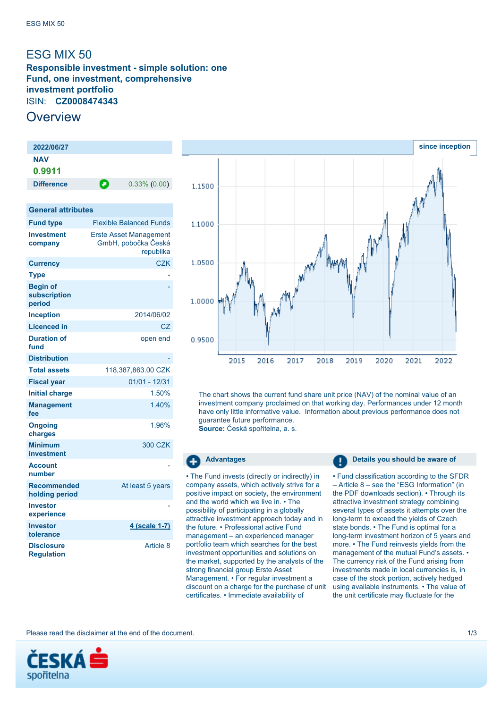# <span id="page-0-0"></span>ESG MIX 50

**Responsible investment - simple solution: one Fund, one investment, comprehensive investment portfolio** ISIN: **CZ0008474343**

# **Overview**

| 2022/06/27                                |                                                                   |                                |
|-------------------------------------------|-------------------------------------------------------------------|--------------------------------|
| <b>NAV</b>                                |                                                                   |                                |
| 0.9911                                    |                                                                   |                                |
| <b>Difference</b>                         | Θ                                                                 | $0.33\%$ $(0.00)$              |
|                                           |                                                                   |                                |
| <b>General attributes</b>                 |                                                                   |                                |
| <b>Fund type</b>                          |                                                                   | <b>Flexible Balanced Funds</b> |
| <b>Investment</b><br>company              | <b>Erste Asset Management</b><br>GmbH, pobočka Česká<br>republika |                                |
| <b>Currency</b>                           |                                                                   | <b>CZK</b>                     |
| <b>Type</b>                               |                                                                   |                                |
| <b>Begin of</b><br>subscription<br>period |                                                                   |                                |
| <b>Inception</b>                          |                                                                   | 2014/06/02                     |
| <b>Licenced in</b>                        |                                                                   | CZ                             |
| <b>Duration of</b><br>fund                |                                                                   | open end                       |
| <b>Distribution</b>                       |                                                                   |                                |
| <b>Total assets</b>                       |                                                                   | 118.387.863.00 CZK             |
| <b>Fiscal year</b>                        |                                                                   | $01/01 - 12/31$                |
| <b>Initial charge</b>                     |                                                                   | 1.50%                          |
| <b>Management</b><br>fee                  |                                                                   | 1.40%                          |
| <b>Ongoing</b><br>charges                 |                                                                   | 1.96%                          |
| <b>Minimum</b><br><b>investment</b>       |                                                                   | <b>300 CZK</b>                 |
| <b>Account</b><br>number                  |                                                                   |                                |
| <b>Recommended</b><br>holding period      |                                                                   | At least 5 years               |
| <b>Investor</b><br>experience             |                                                                   |                                |
| <b>Investor</b><br>tolerance              |                                                                   | <u>4 (scale 1-7)</u>           |
| <b>Disclosure</b><br><b>Regulation</b>    |                                                                   | Article 8                      |



The chart shows the current fund share unit price (NAV) of the nominal value of an investment company proclaimed on that working day. Performances under 12 month have only little informative value. Information about previous performance does not guarantee future performance.

**Source:** Česká spořitelna, a. s.

## æ

• The Fund invests (directly or indirectly) in company assets, which actively strive for a positive impact on society, the environment and the world which we live in. • The possibility of participating in a globally attractive investment approach today and in the future. • Professional active Fund management – an experienced manager portfolio team which searches for the best investment opportunities and solutions on the market, supported by the analysts of the strong financial group Erste Asset Management. • For regular investment a discount on a charge for the purchase of unit certificates. • Immediate availability of

**Advantages Details you should be aware of** 

• Fund classification according to the SFDR – Article 8 – see the "ESG Information" (in the PDF downloads section). • Through its attractive investment strategy combining several types of assets it attempts over the long-term to exceed the yields of Czech state bonds. • The Fund is optimal for a long-term investment horizon of 5 years and more. • The Fund reinvests yields from the management of the mutual Fund's assets. • The currency risk of the Fund arising from investments made in local currencies is, in case of the stock portion, actively hedged using available instruments. • The value of the unit certificate may fluctuate for the

Please read the disclaimer at the end of the document. 1/3

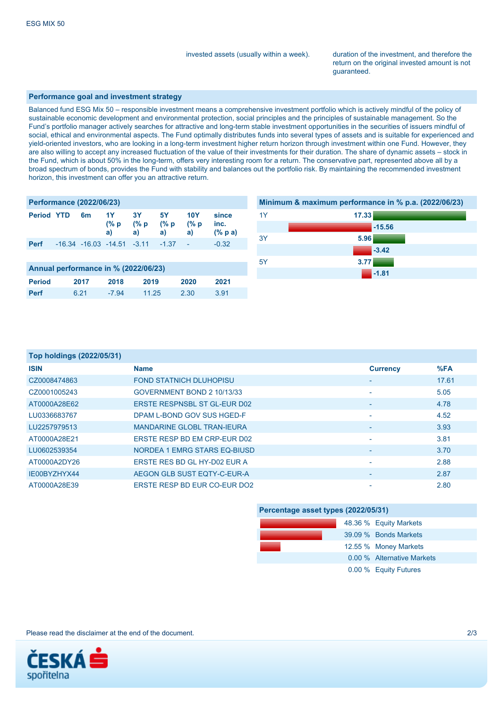invested assets (usually within a week). duration of the investment, and therefore the return on the original invested amount is not guaranteed.

### **Performance goal and investment strategy**

Balanced fund ESG Mix 50 – responsible investment means a comprehensive investment portfolio which is actively mindful of the policy of sustainable economic development and environmental protection, social principles and the principles of sustainable management. So the Fund's portfolio manager actively searches for attractive and long-term stable investment opportunities in the securities of issuers mindful of social, ethical and environmental aspects. The Fund optimally distributes funds into several types of assets and is suitable for experienced and yield-oriented investors, who are looking in a long-term investment higher return horizon through investment within one Fund. However, they are also willing to accept any increased fluctuation of the value of their investments for their duration. The share of dynamic assets – stock in the Fund, which is about 50% in the long-term, offers very interesting room for a return. The conservative part, represented above all by a broad spectrum of bonds, provides the Fund with stability and balances out the portfolio risk. By maintaining the recommended investment horizon, this investment can offer you an attractive return.

| <b>Performance (2022/06/23)</b>      |  |                            |                      |                          |                   |                           |                                           |
|--------------------------------------|--|----------------------------|----------------------|--------------------------|-------------------|---------------------------|-------------------------------------------|
| <b>Period YTD</b>                    |  | 6m                         | 1Y<br>$(\% p)$<br>a) | <b>3Y</b><br>(% p)<br>a) | 5Y<br>(% p)<br>a) | <b>10Y</b><br>(% p)<br>a) | since<br>inc.<br>$(% \mathbf{a})$ (% p a) |
| <b>Perf</b>                          |  | $-16.34$ $-16.03$ $-14.51$ |                      | $-3.11$                  | $-1.37$           |                           | $-0.32$                                   |
|                                      |  |                            |                      |                          |                   |                           |                                           |
| Annual performance in % (2022/06/23) |  |                            |                      |                          |                   |                           |                                           |
| <b>Period</b>                        |  | 2017                       | 2018                 | 2019                     |                   | 2020                      | 2021                                      |
| Perf                                 |  | 6.21                       | $-7.94$              | 11.25                    |                   | 2.30                      | 3.91                                      |



| Top holdings (2022/05/31) |                                |                 |       |
|---------------------------|--------------------------------|-----------------|-------|
| <b>ISIN</b>               | <b>Name</b>                    | <b>Currency</b> | %FA   |
| CZ0008474863              | <b>FOND STATNICH DLUHOPISU</b> | ٠               | 17.61 |
| CZ0001005243              | GOVERNMENT BOND 2 10/13/33     | ۰               | 5.05  |
| AT0000A28E62              | FRSTE RESPNSBL ST GL-FUR D02   | ٠               | 4.78  |
| LU0336683767              | DPAM L-BOND GOV SUS HGED-F     | ۰               | 4.52  |
| LU2257979513              | MANDARINE GLOBL TRAN-IFURA     |                 | 3.93  |
| AT0000A28F21              | ERSTE RESP BD EM CRP-EUR D02   |                 | 3.81  |
| LU0602539354              | NORDEA 1 EMRG STARS EQ-BIUSD   |                 | 3.70  |
| AT0000A2DY26              | ERSTE RES BD GL HY-D02 EUR A   |                 | 2.88  |
| IE00BYZHYX44              | AEGON GLB SUST EQTY-C-EUR-A    | ٠               | 2.87  |
| AT0000A28E39              | ERSTE RESP BD EUR CO-EUR DO2   |                 | 2.80  |

| Percentage asset types (2022/05/31) |                            |  |  |  |
|-------------------------------------|----------------------------|--|--|--|
|                                     | 48.36 % Equity Markets     |  |  |  |
|                                     | 39.09 % Bonds Markets      |  |  |  |
|                                     | 12.55 % Money Markets      |  |  |  |
|                                     | 0.00 % Alternative Markets |  |  |  |
|                                     | 0.00 % Equity Futures      |  |  |  |

Please read the disclaimer at the end of the document. 2/3